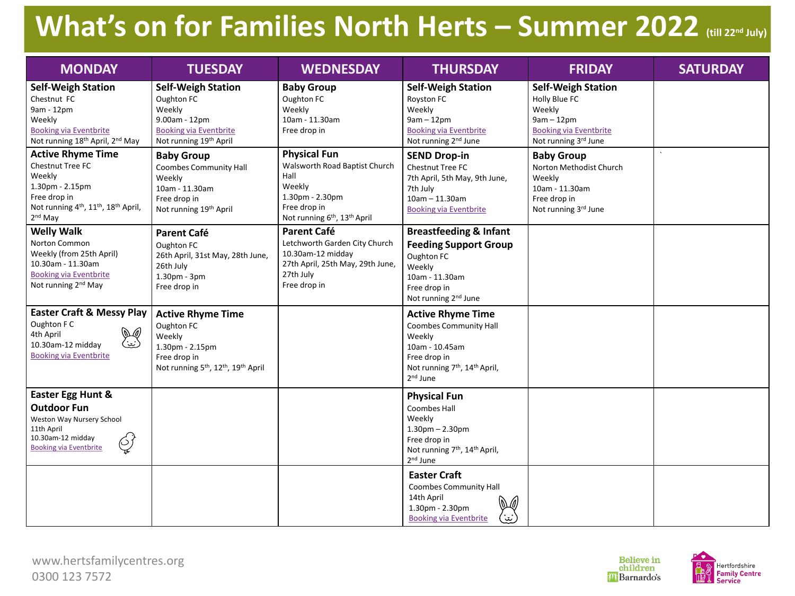# **What's on for Families North Herts – Summer 2022 (till 22nd July)**

| <b>MONDAY</b>                                                                                                                                                                      | <b>TUESDAY</b>                                                                                                                                                 | <b>WEDNESDAY</b>                                                                                                                                                  | <b>THURSDAY</b>                                                                                                                                                                        | <b>FRIDAY</b>                                                                                                                 | <b>SATURDAY</b> |
|------------------------------------------------------------------------------------------------------------------------------------------------------------------------------------|----------------------------------------------------------------------------------------------------------------------------------------------------------------|-------------------------------------------------------------------------------------------------------------------------------------------------------------------|----------------------------------------------------------------------------------------------------------------------------------------------------------------------------------------|-------------------------------------------------------------------------------------------------------------------------------|-----------------|
| <b>Self-Weigh Station</b><br>Chestnut FC<br>9am - 12pm<br>Weekly<br><b>Booking via Eventbrite</b><br>Not running 18 <sup>th</sup> April, 2 <sup>nd</sup> May                       | <b>Self-Weigh Station</b><br>Oughton FC<br>Weekly<br>9.00am - 12pm<br><b>Booking via Eventbrite</b><br>Not running 19 <sup>th</sup> April                      | <b>Baby Group</b><br>Oughton FC<br>Weekly<br>10am - 11.30am<br>Free drop in                                                                                       | <b>Self-Weigh Station</b><br>Royston FC<br>Weekly<br>$9am - 12pm$<br><b>Booking via Eventbrite</b><br>Not running 2 <sup>nd</sup> June                                                 | <b>Self-Weigh Station</b><br>Holly Blue FC<br>Weekly<br>$9am - 12pm$<br><b>Booking via Eventbrite</b><br>Not running 3rd June |                 |
| <b>Active Rhyme Time</b><br>Chestnut Tree FC<br>Weekly<br>1.30pm - 2.15pm<br>Free drop in<br>Not running 4 <sup>th</sup> , 11 <sup>th</sup> , 18 <sup>th</sup> April,<br>$2nd$ May | <b>Baby Group</b><br><b>Coombes Community Hall</b><br>Weekly<br>10am - 11.30am<br>Free drop in<br>Not running 19 <sup>th</sup> April                           | <b>Physical Fun</b><br>Walsworth Road Baptist Church<br>Hall<br>Weekly<br>1.30pm - 2.30pm<br>Free drop in<br>Not running 6 <sup>th</sup> , 13 <sup>th</sup> April | <b>SEND Drop-in</b><br><b>Chestnut Tree FC</b><br>7th April, 5th May, 9th June,<br>7th July<br>$10am - 11.30am$<br><b>Booking via Eventbrite</b>                                       | <b>Baby Group</b><br>Norton Methodist Church<br>Weekly<br>10am - 11.30am<br>Free drop in<br>Not running 3rd June              |                 |
| <b>Welly Walk</b><br>Norton Common<br>Weekly (from 25th April)<br>10.30am - 11.30am<br><b>Booking via Eventbrite</b><br>Not running 2 <sup>nd</sup> May                            | <b>Parent Café</b><br>Oughton FC<br>26th April, 31st May, 28th June,<br>26th July<br>1.30pm - 3pm<br>Free drop in                                              | <b>Parent Café</b><br>Letchworth Garden City Church<br>10.30am-12 midday<br>27th April, 25th May, 29th June,<br>27th July<br>Free drop in                         | <b>Breastfeeding &amp; Infant</b><br><b>Feeding Support Group</b><br>Oughton FC<br>Weekly<br>10am - 11.30am<br>Free drop in<br>Not running 2 <sup>nd</sup> June                        |                                                                                                                               |                 |
| <b>Easter Craft &amp; Messy Play</b><br>Oughton F C<br>کیلی<br>(بینا<br>4th April<br>10.30am-12 midday<br><b>Booking via Eventbrite</b>                                            | <b>Active Rhyme Time</b><br>Oughton FC<br>Weekly<br>1.30pm - 2.15pm<br>Free drop in<br>Not running 5 <sup>th</sup> , 12 <sup>th</sup> , 19 <sup>th</sup> April |                                                                                                                                                                   | <b>Active Rhyme Time</b><br><b>Coombes Community Hall</b><br>Weekly<br>10am - 10.45am<br>Free drop in<br>Not running 7 <sup>th</sup> , 14 <sup>th</sup> April,<br>2 <sup>nd</sup> June |                                                                                                                               |                 |
| Easter Egg Hunt &<br><b>Outdoor Fun</b><br>Weston Way Nursery School<br>11th April<br>10.30am-12 midday<br>$\left(\bigcirc\right)'$<br><b>Booking via Eventbrite</b><br>¥          |                                                                                                                                                                |                                                                                                                                                                   | <b>Physical Fun</b><br>Coombes Hall<br>Weekly<br>$1.30$ pm $- 2.30$ pm<br>Free drop in<br>Not running 7 <sup>th</sup> , 14 <sup>th</sup> April,<br>2 <sup>nd</sup> June                |                                                                                                                               |                 |
|                                                                                                                                                                                    |                                                                                                                                                                |                                                                                                                                                                   | <b>Easter Craft</b><br><b>Coombes Community Hall</b><br>14th April<br>1.30pm - 2.30pm<br><u>س</u> نا<br><b>Booking via Eventbrite</b>                                                  |                                                                                                                               |                 |



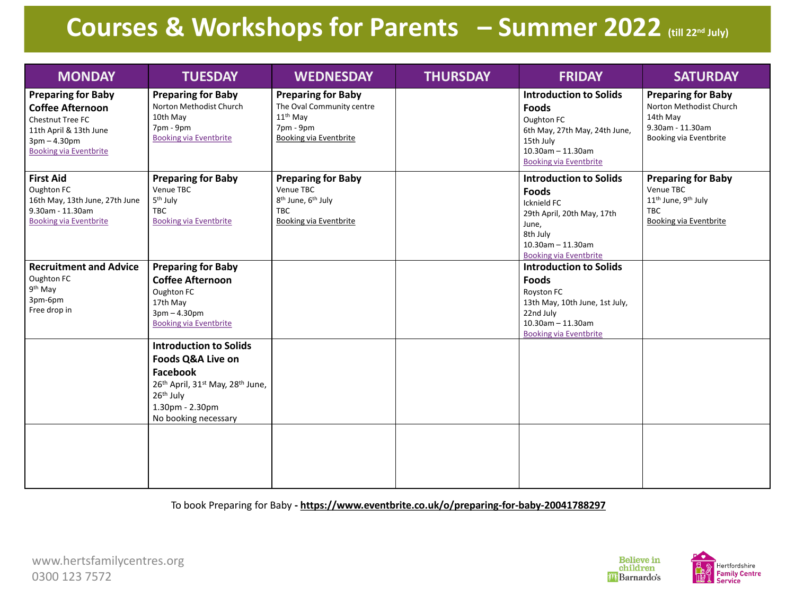# **Courses & Workshops for Parents – Summer 2022 (till 22nd July)**

| <b>MONDAY</b>                                                                                                                                         | <b>TUESDAY</b>                                                                                                                                                                                                        | <b>WEDNESDAY</b>                                                                                                                    | <b>THURSDAY</b> | <b>FRIDAY</b>                                                                                                                                                            | <b>SATURDAY</b>                                                                                                                      |
|-------------------------------------------------------------------------------------------------------------------------------------------------------|-----------------------------------------------------------------------------------------------------------------------------------------------------------------------------------------------------------------------|-------------------------------------------------------------------------------------------------------------------------------------|-----------------|--------------------------------------------------------------------------------------------------------------------------------------------------------------------------|--------------------------------------------------------------------------------------------------------------------------------------|
| <b>Preparing for Baby</b><br><b>Coffee Afternoon</b><br>Chestnut Tree FC<br>11th April & 13th June<br>$3pm - 4.30pm$<br><b>Booking via Eventbrite</b> | <b>Preparing for Baby</b><br>Norton Methodist Church<br>10th May<br>7pm - 9pm<br><b>Booking via Eventbrite</b>                                                                                                        | <b>Preparing for Baby</b><br>The Oval Community centre<br>$11th$ May<br>7pm - 9pm<br><b>Booking via Eventbrite</b>                  |                 | <b>Introduction to Solids</b><br><b>Foods</b><br>Oughton FC<br>6th May, 27th May, 24th June,<br>15th July<br>$10.30$ am - 11.30am<br><b>Booking via Eventbrite</b>       | <b>Preparing for Baby</b><br>Norton Methodist Church<br>14th May<br>9.30am - 11.30am<br>Booking via Eventbrite                       |
| <b>First Aid</b><br>Oughton FC<br>16th May, 13th June, 27th June<br>9.30am - 11.30am<br><b>Booking via Eventbrite</b>                                 | <b>Preparing for Baby</b><br>Venue TBC<br>5 <sup>th</sup> July<br><b>TBC</b><br><b>Booking via Eventbrite</b>                                                                                                         | <b>Preparing for Baby</b><br>Venue TBC<br>8 <sup>th</sup> June, 6 <sup>th</sup> July<br><b>TBC</b><br><b>Booking via Eventbrite</b> |                 | <b>Introduction to Solids</b><br><b>Foods</b><br>Icknield FC<br>29th April, 20th May, 17th<br>June,<br>8th July<br>$10.30$ am - 11.30am<br><b>Booking via Eventbrite</b> | <b>Preparing for Baby</b><br>Venue TBC<br>11 <sup>th</sup> June, 9 <sup>th</sup> July<br><b>TBC</b><br><b>Booking via Eventbrite</b> |
| <b>Recruitment and Advice</b><br>Oughton FC<br>9 <sup>th</sup> May<br>3pm-6pm<br>Free drop in                                                         | <b>Preparing for Baby</b><br><b>Coffee Afternoon</b><br>Oughton FC<br>17th May<br>$3pm - 4.30pm$<br><b>Booking via Eventbrite</b>                                                                                     |                                                                                                                                     |                 | <b>Introduction to Solids</b><br><b>Foods</b><br>Royston FC<br>13th May, 10th June, 1st July,<br>22nd July<br>$10.30$ am - 11.30am<br><b>Booking via Eventbrite</b>      |                                                                                                                                      |
|                                                                                                                                                       | <b>Introduction to Solids</b><br><b>Foods Q&amp;A Live on</b><br>Facebook<br>26 <sup>th</sup> April, 31 <sup>st</sup> May, 28 <sup>th</sup> June,<br>26 <sup>th</sup> July<br>1.30pm - 2.30pm<br>No booking necessary |                                                                                                                                     |                 |                                                                                                                                                                          |                                                                                                                                      |
|                                                                                                                                                       |                                                                                                                                                                                                                       |                                                                                                                                     |                 |                                                                                                                                                                          |                                                                                                                                      |

To book Preparing for Baby **- https://www.eventbrite.co.uk/o/preparing-for-baby-20041788297**